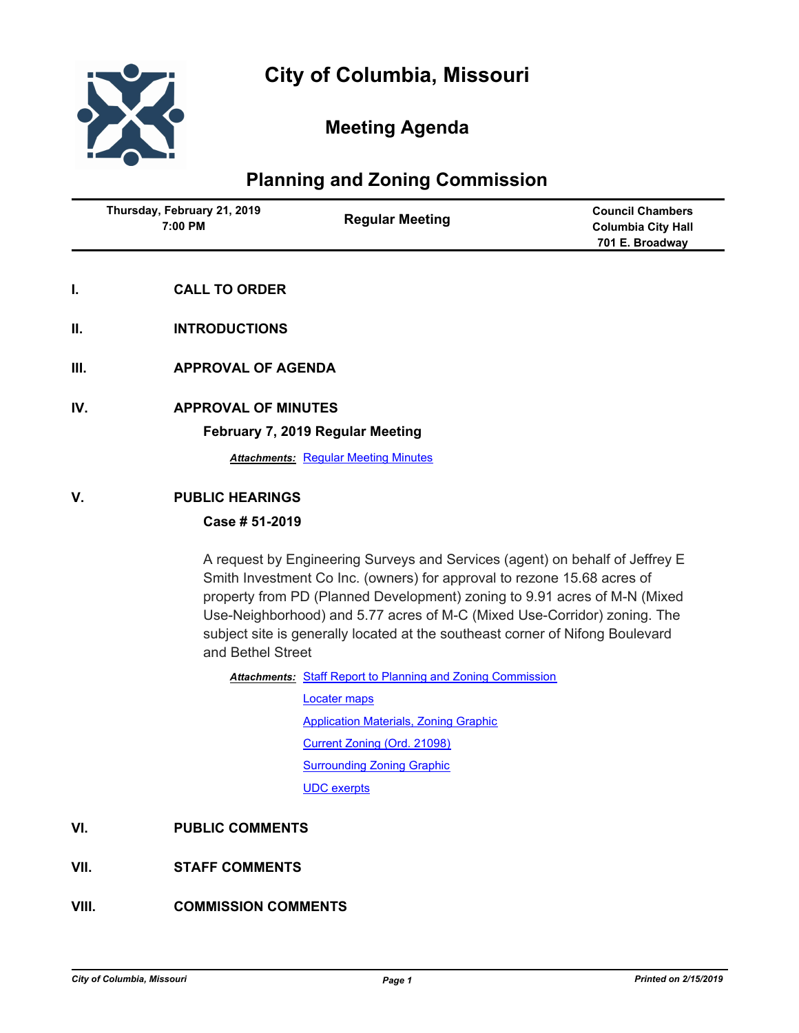

# **Meeting Agenda**

## **Planning and Zoning Commission**

|    | Thursday, February 21, 2019<br>7:00 PM | <b>Regular Meeting</b> | <b>Council Chambers</b><br><b>Columbia City Hall</b><br>701 E. Broadway |
|----|----------------------------------------|------------------------|-------------------------------------------------------------------------|
| ь. | <b>CALL TO ORDER</b>                   |                        |                                                                         |
| Ш. | <b>INTRODUCTIONS</b>                   |                        |                                                                         |

- **III. APPROVAL OF AGENDA**
- **IV. APPROVAL OF MINUTES**

#### **February 7, 2019 Regular Meeting**

**Attachments: [Regular Meeting Minutes](http://gocolumbiamo.legistar.com/gateway.aspx?M=F&ID=4d791271-be52-4d51-b2c2-d6654c0c6de6.docx)** 

#### **V. PUBLIC HEARINGS**

### **Case # 51-2019**

A request by Engineering Surveys and Services (agent) on behalf of Jeffrey E Smith Investment Co Inc. (owners) for approval to rezone 15.68 acres of property from PD (Planned Development) zoning to 9.91 acres of M-N (Mixed Use-Neighborhood) and 5.77 acres of M-C (Mixed Use-Corridor) zoning. The subject site is generally located at the southeast corner of Nifong Boulevard and Bethel Street

Attachments: [Staff Report to Planning and Zoning Commission](http://gocolumbiamo.legistar.com/gateway.aspx?M=F&ID=91dafeff-9d3e-4d3e-b0b1-07b5146d519b.docx)

[Locater maps](http://gocolumbiamo.legistar.com/gateway.aspx?M=F&ID=d64e9be2-11a8-4334-82a7-d62ba876d057.pdf) [Application Materials, Zoning Graphic](http://gocolumbiamo.legistar.com/gateway.aspx?M=F&ID=701387df-b048-456c-b2f0-67cfce757475.pdf) [Current Zoning \(Ord. 21098\)](http://gocolumbiamo.legistar.com/gateway.aspx?M=F&ID=5a74ed23-7ace-471f-9ac2-0b2af047ff3a.pdf) [Surrounding Zoning Graphic](http://gocolumbiamo.legistar.com/gateway.aspx?M=F&ID=8e0a7149-d34d-4e64-83b7-20b04ab20039.pdf) [UDC exerpts](http://gocolumbiamo.legistar.com/gateway.aspx?M=F&ID=d078adf3-6239-4bac-93a8-7e670a11084c.pdf)

### **VI. PUBLIC COMMENTS**

### **VII. STAFF COMMENTS**

### **VIII. COMMISSION COMMENTS**